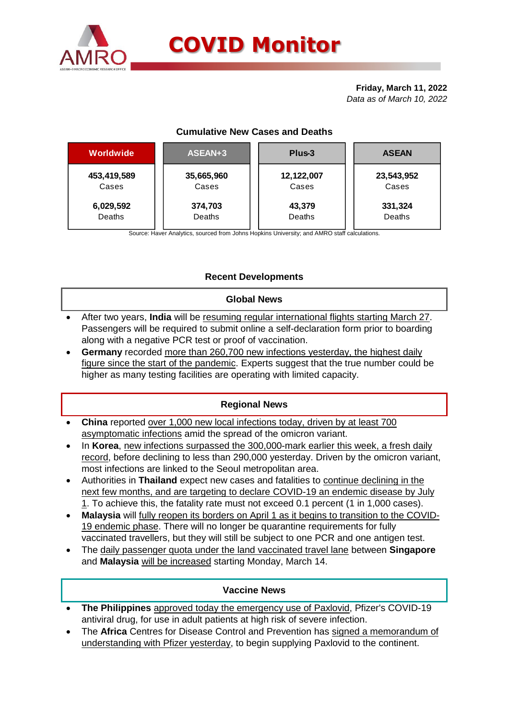

#### **Friday, March 11, 2022** *Data as of March 10, 2022*

# **Cumulative New Cases and Deaths**

| <b>Worldwide</b> | ASEAN+3    | Plus-3     | <b>ASEAN</b> |  |  |
|------------------|------------|------------|--------------|--|--|
| 453,419,589      | 35,665,960 | 12,122,007 | 23,543,952   |  |  |
| Cases            | Cases      | Cases      | Cases        |  |  |
| 6,029,592        | 374,703    | 43,379     | 331,324      |  |  |
| Deaths           | Deaths     | Deaths     | Deaths       |  |  |

Source: Haver Analytics, sourced from Johns Hopkins University; and AMRO staff calculations.

# **Recent Developments**

### **Global News**

- After two years, **India** will be resuming regular international flights starting March 27. Passengers will be required to submit online a self-declaration form prior to boarding along with a negative PCR test or proof of vaccination.
- **Germany** recorded more than 260,700 new infections yesterday, the highest daily figure since the start of the pandemic. Experts suggest that the true number could be higher as many testing facilities are operating with limited capacity.

## **Regional News**

- **China** reported over 1,000 new local infections today, driven by at least 700 asymptomatic infections amid the spread of the omicron variant.
- In **Korea**, new infections surpassed the 300,000-mark earlier this week, a fresh daily record, before declining to less than 290,000 yesterday. Driven by the omicron variant, most infections are linked to the Seoul metropolitan area.
- Authorities in **Thailand** expect new cases and fatalities to continue declining in the next few months, and are targeting to declare COVID-19 an endemic disease by July 1. To achieve this, the fatality rate must not exceed 0.1 percent (1 in 1,000 cases).
- **Malaysia** will fully reopen its borders on April 1 as it begins to transition to the COVID-19 endemic phase. There will no longer be quarantine requirements for fully vaccinated travellers, but they will still be subject to one PCR and one antigen test.
- The daily passenger quota under the land vaccinated travel lane between **Singapore**  and Malaysia will be increased starting Monday, March 14.

### **Vaccine News**

- **The Philippines** approved today the emergency use of Paxlovid, Pfizer's COVID-19 antiviral drug, for use in adult patients at high risk of severe infection.
- The **Africa** Centres for Disease Control and Prevention has signed a memorandum of understanding with Pfizer yesterday, to begin supplying Paxlovid to the continent.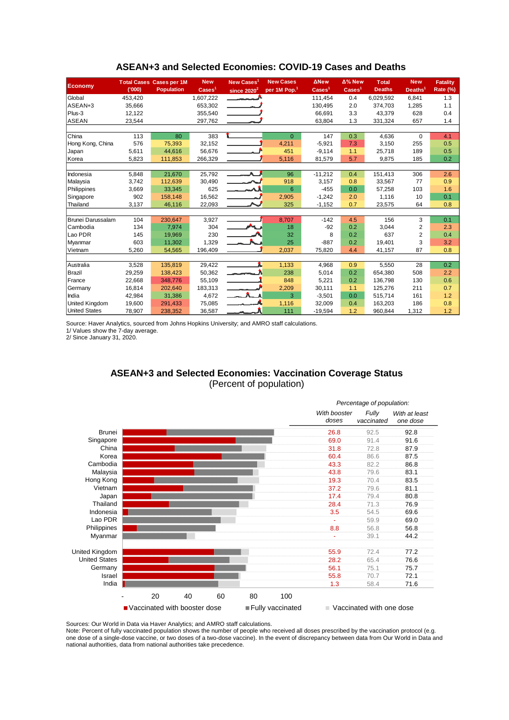| <b>Economy</b>        |         | <b>Total Cases Cases per 1M</b> | <b>New</b>                 | New Cases <sup>1</sup>   | <b>New Cases</b>         | <b>ANew</b>              | Δ% New             | <b>Total</b>  | <b>New</b>              | <b>Fatality</b> |  |
|-----------------------|---------|---------------------------------|----------------------------|--------------------------|--------------------------|--------------------------|--------------------|---------------|-------------------------|-----------------|--|
|                       | (000)   | <b>Population</b>               | $\text{Case}$ <sup>1</sup> | since $2020^2$           | per 1M Pop. <sup>1</sup> | $\text{Case} \text{s}^1$ | Cases <sup>1</sup> | <b>Deaths</b> | Deaths <sup>1</sup>     | <b>Rate (%)</b> |  |
| Global                | 453,420 |                                 | 1,607,222                  |                          |                          | 111,454                  | 0.4                | 6,029,592     | 6,841                   | 1.3             |  |
| ASEAN+3               | 35,666  |                                 | 653,302                    |                          |                          | 130,495                  | 2.0                | 374.703       | 1,285                   | 1.1             |  |
| Plus-3                | 12,122  |                                 | 355,540                    |                          |                          | 66,691                   | 3.3                | 43,379        | 628                     | 0.4             |  |
| ASEAN                 | 23,544  |                                 | 297,762                    |                          |                          | 63,804                   | 1.3                | 331,324       | 657                     | 1.4             |  |
|                       |         |                                 |                            |                          |                          |                          |                    |               |                         |                 |  |
| <b>China</b>          | 113     | 80                              | 383                        |                          | $\Omega$                 | 147                      | 0.3                | 4,636         | $\Omega$                | 4.1             |  |
| Hong Kong, China      | 576     | 75,393                          | 32,152                     |                          | 4,211                    | $-5,921$                 | 7.3                | 3,150         | 255                     | 0.5             |  |
| Japan                 | 5,611   | 44.616                          | 56,676                     |                          | 451                      | $-9,114$                 | 1.1                | 25,718        | 189                     | 0.5             |  |
| Korea                 | 5,823   | 111,853                         | 266,329                    |                          | 5,116                    | 81,579                   | 5.7                | 9,875         | 185                     | 0.2             |  |
|                       |         |                                 |                            |                          |                          |                          |                    |               |                         |                 |  |
| Indonesia             | 5,848   | 21,670                          | 25,792                     | $\overline{\phantom{a}}$ | 96                       | $-11,212$                | 0.4                | 151,413       | 306                     | 2.6             |  |
| Malaysia              | 3,742   | 112,639                         | 30,490                     |                          | 918                      | 3,157                    | 0.8                | 33,567        | 77                      | 0.9             |  |
| Philippines           | 3,669   | 33,345                          | 625                        |                          | 6                        | $-455$                   | 0.0                | 57,258        | 103                     | 1.6             |  |
| Singapore             | 902     | 158,148                         | 16,562                     |                          | 2,905                    | $-1,242$                 | 2.0                | 1,116         | 10                      | 0.1             |  |
| Thailand              | 3,137   | 46,116                          | 22,093                     |                          | 325                      | $-1,152$                 | 0.7                | 23,575        | 64                      | 0.8             |  |
|                       |         |                                 |                            |                          |                          |                          |                    |               |                         |                 |  |
| Brunei Darussalam     | 104     | 230,647                         | 3,927                      |                          | 8,707                    | $-142$                   | 4.5                | 156           | 3                       | 0.1             |  |
| Cambodia              | 134     | 7,974                           | 304                        |                          | 18                       | $-92$                    | 0.2                | 3,044         | $\overline{\mathbf{c}}$ | 2.3             |  |
| Lao PDR               | 145     | 19,969                          | 230                        |                          | 32                       | 8                        | 0.2                | 637           | $\overline{2}$          | 0.4             |  |
| Myanmar               | 603     | 11,302                          | 1,329                      |                          | 25                       | $-887$                   | 0.2                | 19,401        | 3                       | 3.2             |  |
| Vietnam               | 5,260   | 54,565                          | 196,409                    |                          | 2,037                    | 75,820                   | 4.4                | 41,157        | 87                      | 0.8             |  |
|                       |         |                                 |                            |                          |                          |                          |                    |               |                         |                 |  |
| Australia             | 3,528   | 135,819                         | 29,422                     |                          | 1,133                    | 4,968                    | 0.9                | 5,550         | 28                      | 0.2             |  |
| Brazil                | 29,259  | 138.423                         | 50,362                     | <u>anan mas</u>          | 238                      | 5,014                    | 0.2                | 654,380       | 508                     | 2.2             |  |
| France                | 22,668  | 348,776                         | 55,109                     |                          | 848                      | 5,221                    | 0.2                | 136,798       | 130                     | 0.6             |  |
| Germany               | 16,814  | 202.640                         | 183,313                    |                          | 2,209                    | 30,111                   | 1.1                | 125,276       | 211                     | 0.7             |  |
| India                 | 42,984  | 31.386                          | 4,672                      |                          | 3                        | $-3,501$                 | 0.0                | 515.714       | 161                     | 1.2             |  |
| <b>United Kingdom</b> | 19,600  | 291,433                         | 75,085                     |                          | 1,116                    | 32,009                   | 0.4                | 163,203       | 186                     | 0.8             |  |
| <b>United States</b>  | 78,907  | 238,352                         | 36,587                     |                          | 111                      | $-19,594$                | 1.2                | 960,844       | 1,312                   | 1.2             |  |

#### **ASEAN+3 and Selected Economies: COVID-19 Cases and Deaths**

Source: Haver Analytics, sourced from Johns Hopkins University; and AMRO staff calculations.

1/ Values show the 7-day average.

2/ Since January 31, 2020.

### **ASEAN+3 and Selected Economies: Vaccination Coverage Status** (Percent of population)



Sources: Our World in Data via Haver Analytics; and AMRO staff calculations.

Note: Percent of fully vaccinated population shows the number of people who received all doses prescribed by the vaccination protocol (e.g. one dose of a single-dose vaccine, or two doses of a two-dose vaccine). In the event of discrepancy between data from Our World in Data and national authorities, data from national authorities take precedence.